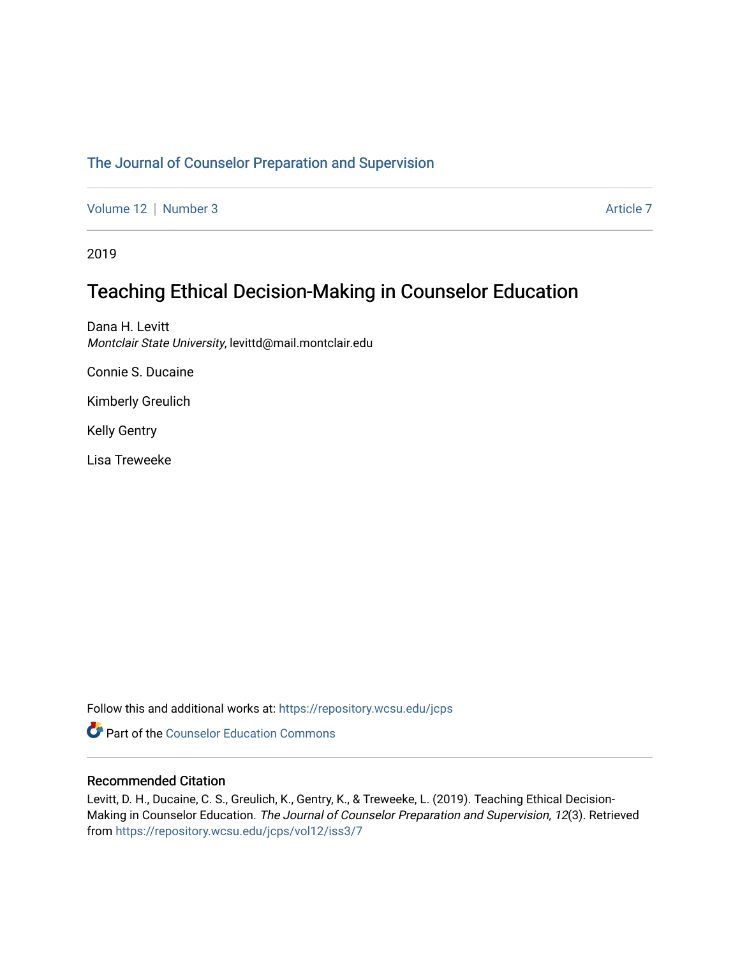# [The Journal of Counselor Preparation and Supervision](https://repository.wcsu.edu/jcps)

[Volume 12](https://repository.wcsu.edu/jcps/vol12) | [Number 3](https://repository.wcsu.edu/jcps/vol12/iss3) Article 7

2019

# Teaching Ethical Decision-Making in Counselor Education

Dana H. Levitt Montclair State University, levittd@mail.montclair.edu

Connie S. Ducaine

Kimberly Greulich

Kelly Gentry

Lisa Treweeke

Follow this and additional works at: [https://repository.wcsu.edu/jcps](https://repository.wcsu.edu/jcps?utm_source=repository.wcsu.edu%2Fjcps%2Fvol12%2Fiss3%2F7&utm_medium=PDF&utm_campaign=PDFCoverPages) 

**Part of the Counselor Education Commons** 

## Recommended Citation

Levitt, D. H., Ducaine, C. S., Greulich, K., Gentry, K., & Treweeke, L. (2019). Teaching Ethical Decision-Making in Counselor Education. The Journal of Counselor Preparation and Supervision, 12(3). Retrieved from [https://repository.wcsu.edu/jcps/vol12/iss3/7](https://repository.wcsu.edu/jcps/vol12/iss3/7?utm_source=repository.wcsu.edu%2Fjcps%2Fvol12%2Fiss3%2F7&utm_medium=PDF&utm_campaign=PDFCoverPages)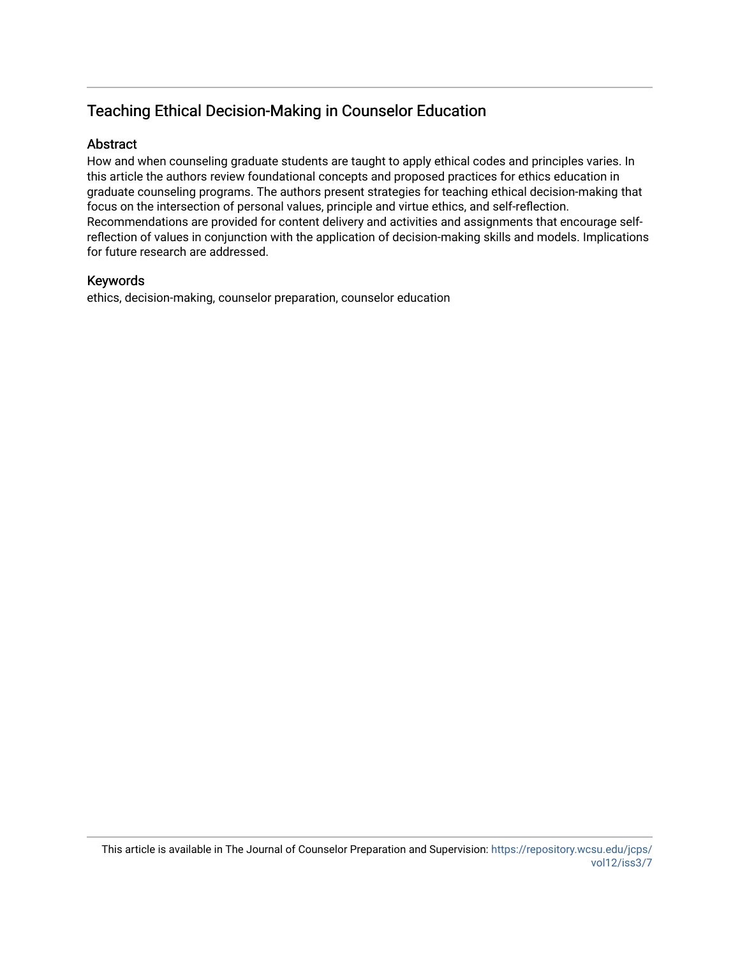# Teaching Ethical Decision-Making in Counselor Education

# Abstract

How and when counseling graduate students are taught to apply ethical codes and principles varies. In this article the authors review foundational concepts and proposed practices for ethics education in graduate counseling programs. The authors present strategies for teaching ethical decision-making that focus on the intersection of personal values, principle and virtue ethics, and self-reflection. Recommendations are provided for content delivery and activities and assignments that encourage selfreflection of values in conjunction with the application of decision-making skills and models. Implications for future research are addressed.

## Keywords

ethics, decision-making, counselor preparation, counselor education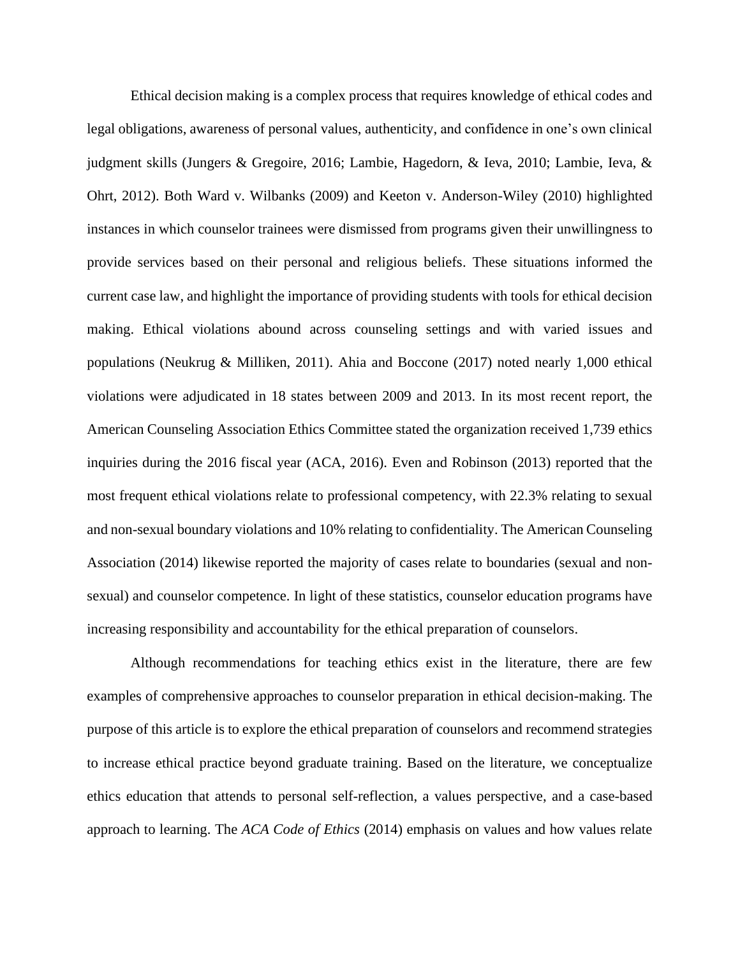Ethical decision making is a complex process that requires knowledge of ethical codes and legal obligations, awareness of personal values, authenticity, and confidence in one's own clinical judgment skills (Jungers & Gregoire, 2016; Lambie, Hagedorn, & Ieva, 2010; Lambie, Ieva, & Ohrt, 2012). Both Ward v. Wilbanks (2009) and Keeton v. Anderson-Wiley (2010) highlighted instances in which counselor trainees were dismissed from programs given their unwillingness to provide services based on their personal and religious beliefs. These situations informed the current case law, and highlight the importance of providing students with tools for ethical decision making. Ethical violations abound across counseling settings and with varied issues and populations (Neukrug & Milliken, 2011). Ahia and Boccone (2017) noted nearly 1,000 ethical violations were adjudicated in 18 states between 2009 and 2013. In its most recent report, the American Counseling Association Ethics Committee stated the organization received 1,739 ethics inquiries during the 2016 fiscal year (ACA, 2016). Even and Robinson (2013) reported that the most frequent ethical violations relate to professional competency, with 22.3% relating to sexual and non-sexual boundary violations and 10% relating to confidentiality. The American Counseling Association (2014) likewise reported the majority of cases relate to boundaries (sexual and nonsexual) and counselor competence. In light of these statistics, counselor education programs have increasing responsibility and accountability for the ethical preparation of counselors.

Although recommendations for teaching ethics exist in the literature, there are few examples of comprehensive approaches to counselor preparation in ethical decision-making. The purpose of this article is to explore the ethical preparation of counselors and recommend strategies to increase ethical practice beyond graduate training. Based on the literature, we conceptualize ethics education that attends to personal self-reflection, a values perspective, and a case-based approach to learning. The *ACA Code of Ethics* (2014) emphasis on values and how values relate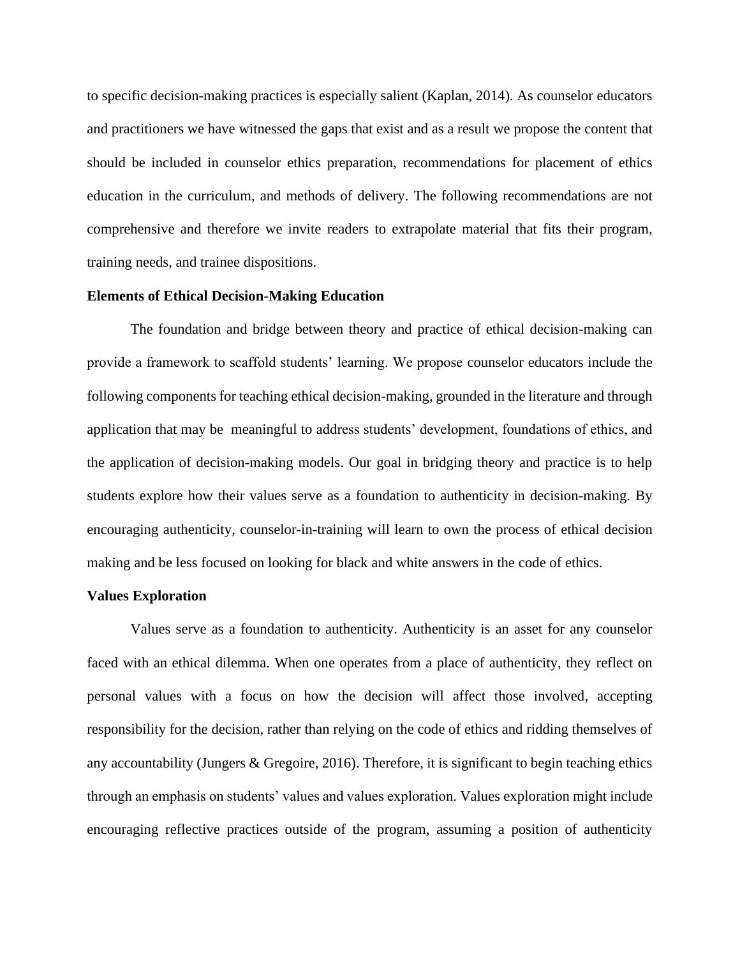to specific decision-making practices is especially salient (Kaplan, 2014). As counselor educators and practitioners we have witnessed the gaps that exist and as a result we propose the content that should be included in counselor ethics preparation, recommendations for placement of ethics education in the curriculum, and methods of delivery. The following recommendations are not comprehensive and therefore we invite readers to extrapolate material that fits their program, training needs, and trainee dispositions.

## **Elements of Ethical Decision-Making Education**

The foundation and bridge between theory and practice of ethical decision-making can provide a framework to scaffold students' learning. We propose counselor educators include the following components for teaching ethical decision-making, grounded in the literature and through application that may be meaningful to address students' development, foundations of ethics, and the application of decision-making models. Our goal in bridging theory and practice is to help students explore how their values serve as a foundation to authenticity in decision-making. By encouraging authenticity, counselor-in-training will learn to own the process of ethical decision making and be less focused on looking for black and white answers in the code of ethics.

#### **Values Exploration**

Values serve as a foundation to authenticity. Authenticity is an asset for any counselor faced with an ethical dilemma. When one operates from a place of authenticity, they reflect on personal values with a focus on how the decision will affect those involved, accepting responsibility for the decision, rather than relying on the code of ethics and ridding themselves of any accountability (Jungers & Gregoire, 2016). Therefore, it is significant to begin teaching ethics through an emphasis on students' values and values exploration. Values exploration might include encouraging reflective practices outside of the program, assuming a position of authenticity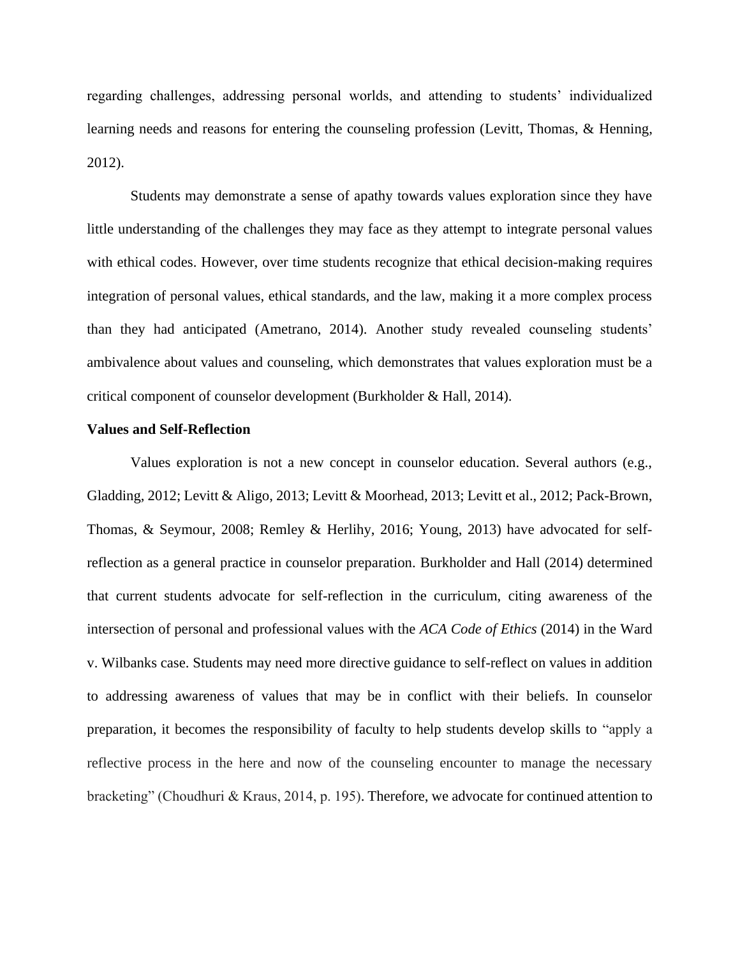regarding challenges, addressing personal worlds, and attending to students' individualized learning needs and reasons for entering the counseling profession (Levitt, Thomas, & Henning, 2012).

Students may demonstrate a sense of apathy towards values exploration since they have little understanding of the challenges they may face as they attempt to integrate personal values with ethical codes. However, over time students recognize that ethical decision-making requires integration of personal values, ethical standards, and the law, making it a more complex process than they had anticipated (Ametrano, 2014). Another study revealed counseling students' ambivalence about values and counseling, which demonstrates that values exploration must be a critical component of counselor development (Burkholder & Hall, 2014).

#### **Values and Self-Reflection**

Values exploration is not a new concept in counselor education. Several authors (e.g., Gladding, 2012; Levitt & Aligo, 2013; Levitt & Moorhead, 2013; Levitt et al., 2012; Pack-Brown, Thomas, & Seymour, 2008; Remley & Herlihy, 2016; Young, 2013) have advocated for selfreflection as a general practice in counselor preparation. Burkholder and Hall (2014) determined that current students advocate for self-reflection in the curriculum, citing awareness of the intersection of personal and professional values with the *ACA Code of Ethics* (2014) in the Ward v. Wilbanks case. Students may need more directive guidance to self-reflect on values in addition to addressing awareness of values that may be in conflict with their beliefs. In counselor preparation, it becomes the responsibility of faculty to help students develop skills to "apply a reflective process in the here and now of the counseling encounter to manage the necessary bracketing" (Choudhuri & Kraus, 2014, p. 195). Therefore, we advocate for continued attention to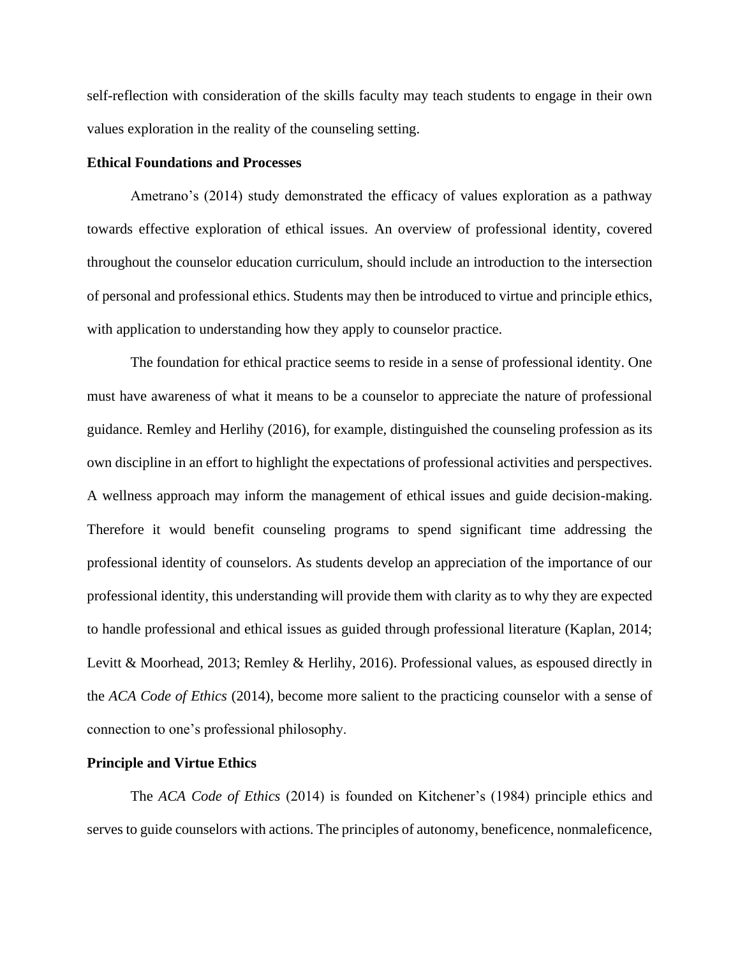self-reflection with consideration of the skills faculty may teach students to engage in their own values exploration in the reality of the counseling setting.

### **Ethical Foundations and Processes**

Ametrano's (2014) study demonstrated the efficacy of values exploration as a pathway towards effective exploration of ethical issues. An overview of professional identity, covered throughout the counselor education curriculum, should include an introduction to the intersection of personal and professional ethics. Students may then be introduced to virtue and principle ethics, with application to understanding how they apply to counselor practice.

The foundation for ethical practice seems to reside in a sense of professional identity. One must have awareness of what it means to be a counselor to appreciate the nature of professional guidance. Remley and Herlihy (2016), for example, distinguished the counseling profession as its own discipline in an effort to highlight the expectations of professional activities and perspectives. A wellness approach may inform the management of ethical issues and guide decision-making. Therefore it would benefit counseling programs to spend significant time addressing the professional identity of counselors. As students develop an appreciation of the importance of our professional identity, this understanding will provide them with clarity as to why they are expected to handle professional and ethical issues as guided through professional literature (Kaplan, 2014; Levitt & Moorhead, 2013; Remley & Herlihy, 2016). Professional values, as espoused directly in the *ACA Code of Ethics* (2014), become more salient to the practicing counselor with a sense of connection to one's professional philosophy.

#### **Principle and Virtue Ethics**

The *ACA Code of Ethics* (2014) is founded on Kitchener's (1984) principle ethics and serves to guide counselors with actions. The principles of autonomy, beneficence, nonmaleficence,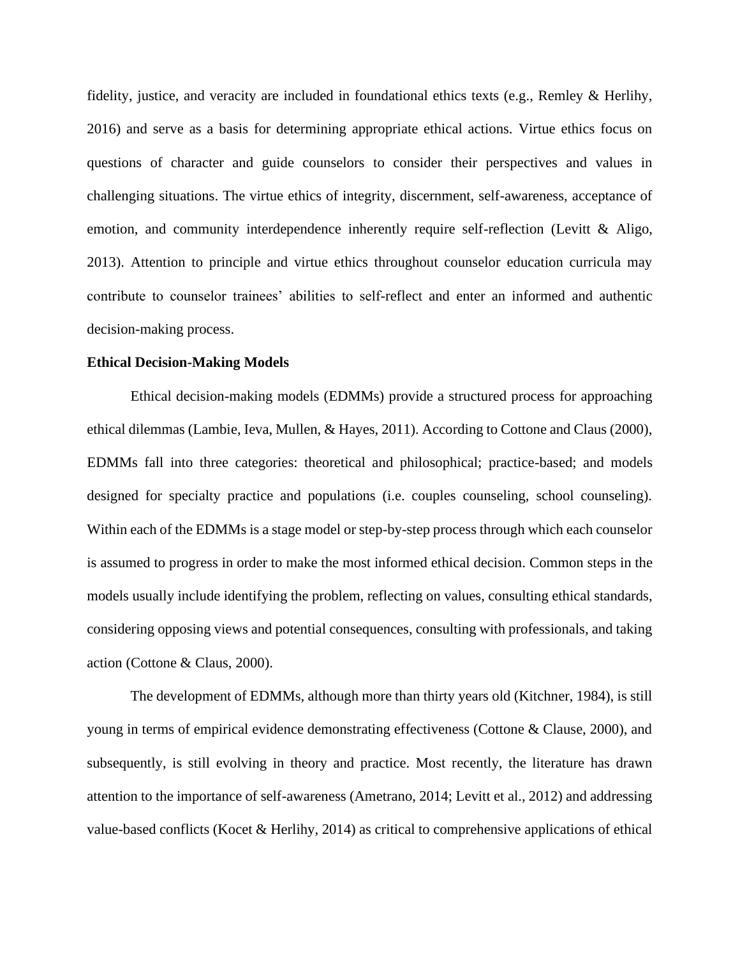fidelity, justice, and veracity are included in foundational ethics texts (e.g., Remley & Herlihy, 2016) and serve as a basis for determining appropriate ethical actions. Virtue ethics focus on questions of character and guide counselors to consider their perspectives and values in challenging situations. The virtue ethics of integrity, discernment, self-awareness, acceptance of emotion, and community interdependence inherently require self-reflection (Levitt & Aligo, 2013). Attention to principle and virtue ethics throughout counselor education curricula may contribute to counselor trainees' abilities to self-reflect and enter an informed and authentic decision-making process.

## **Ethical Decision-Making Models**

Ethical decision-making models (EDMMs) provide a structured process for approaching ethical dilemmas (Lambie, Ieva, Mullen, & Hayes, 2011). According to Cottone and Claus (2000), EDMMs fall into three categories: theoretical and philosophical; practice-based; and models designed for specialty practice and populations (i.e. couples counseling, school counseling). Within each of the EDMMs is a stage model or step-by-step process through which each counselor is assumed to progress in order to make the most informed ethical decision. Common steps in the models usually include identifying the problem, reflecting on values, consulting ethical standards, considering opposing views and potential consequences, consulting with professionals, and taking action (Cottone & Claus, 2000).

The development of EDMMs, although more than thirty years old (Kitchner, 1984), is still young in terms of empirical evidence demonstrating effectiveness (Cottone & Clause, 2000), and subsequently, is still evolving in theory and practice. Most recently, the literature has drawn attention to the importance of self-awareness (Ametrano, 2014; Levitt et al., 2012) and addressing value-based conflicts (Kocet & Herlihy, 2014) as critical to comprehensive applications of ethical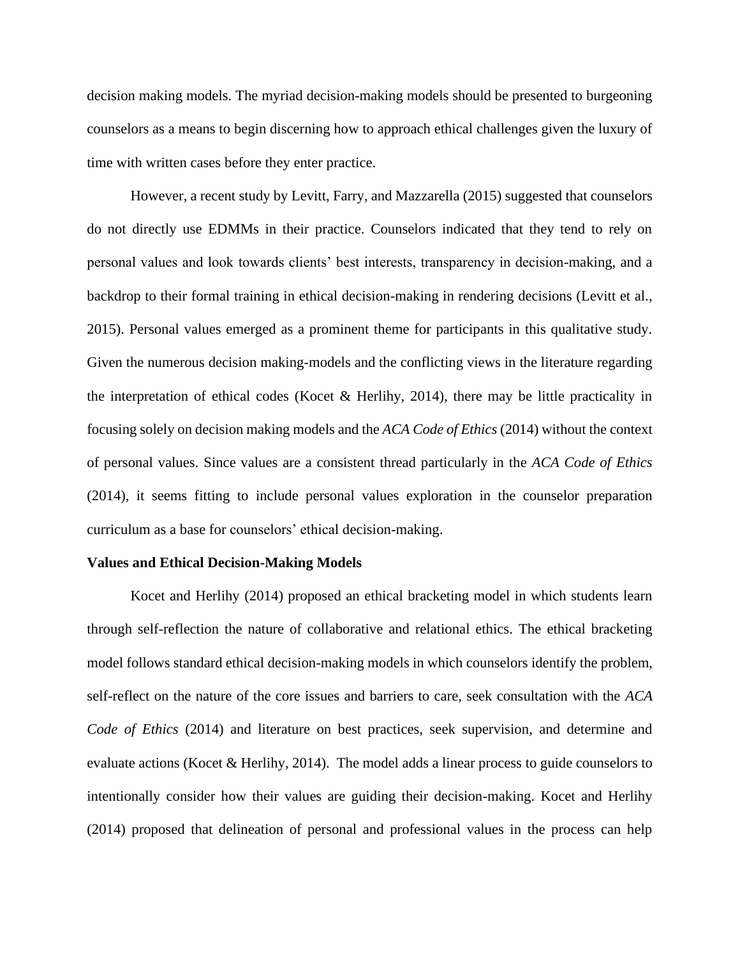decision making models. The myriad decision-making models should be presented to burgeoning counselors as a means to begin discerning how to approach ethical challenges given the luxury of time with written cases before they enter practice.

However, a recent study by Levitt, Farry, and Mazzarella (2015) suggested that counselors do not directly use EDMMs in their practice. Counselors indicated that they tend to rely on personal values and look towards clients' best interests, transparency in decision-making, and a backdrop to their formal training in ethical decision-making in rendering decisions (Levitt et al., 2015). Personal values emerged as a prominent theme for participants in this qualitative study. Given the numerous decision making-models and the conflicting views in the literature regarding the interpretation of ethical codes (Kocet & Herlihy, 2014), there may be little practicality in focusing solely on decision making models and the *ACA Code of Ethics* (2014) without the context of personal values. Since values are a consistent thread particularly in the *ACA Code of Ethics* (2014), it seems fitting to include personal values exploration in the counselor preparation curriculum as a base for counselors' ethical decision-making.

#### **Values and Ethical Decision-Making Models**

Kocet and Herlihy (2014) proposed an ethical bracketing model in which students learn through self-reflection the nature of collaborative and relational ethics. The ethical bracketing model follows standard ethical decision-making models in which counselors identify the problem, self-reflect on the nature of the core issues and barriers to care, seek consultation with the *ACA Code of Ethics* (2014) and literature on best practices, seek supervision, and determine and evaluate actions (Kocet & Herlihy, 2014). The model adds a linear process to guide counselors to intentionally consider how their values are guiding their decision-making. Kocet and Herlihy (2014) proposed that delineation of personal and professional values in the process can help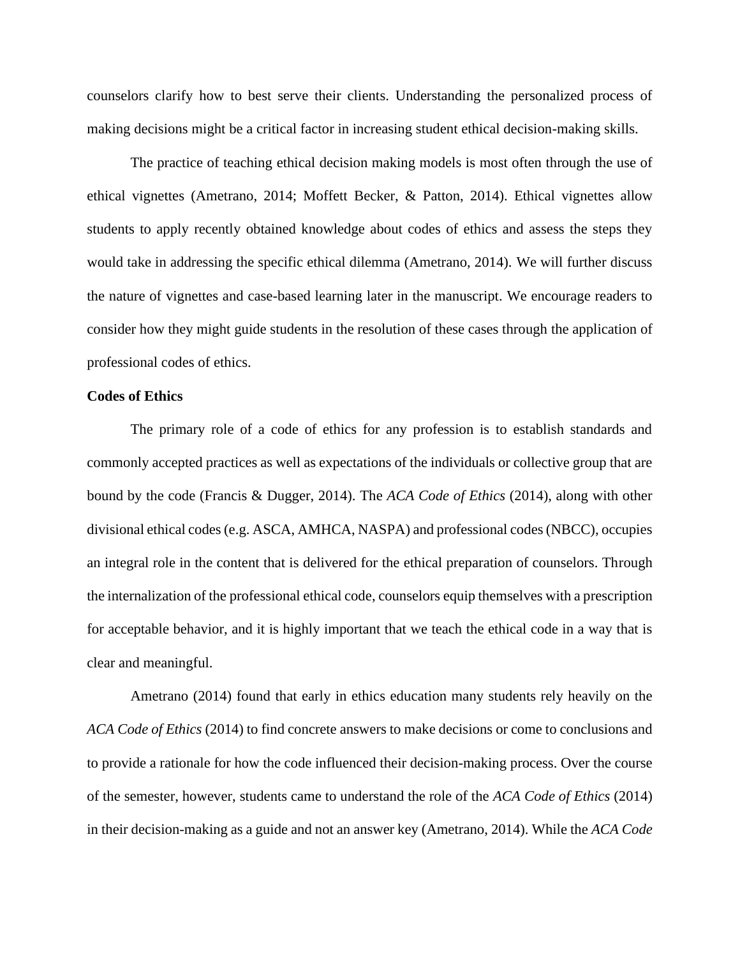counselors clarify how to best serve their clients. Understanding the personalized process of making decisions might be a critical factor in increasing student ethical decision-making skills.

The practice of teaching ethical decision making models is most often through the use of ethical vignettes (Ametrano, 2014; Moffett Becker, & Patton, 2014). Ethical vignettes allow students to apply recently obtained knowledge about codes of ethics and assess the steps they would take in addressing the specific ethical dilemma (Ametrano, 2014). We will further discuss the nature of vignettes and case-based learning later in the manuscript. We encourage readers to consider how they might guide students in the resolution of these cases through the application of professional codes of ethics.

## **Codes of Ethics**

The primary role of a code of ethics for any profession is to establish standards and commonly accepted practices as well as expectations of the individuals or collective group that are bound by the code (Francis & Dugger, 2014). The *ACA Code of Ethics* (2014), along with other divisional ethical codes (e.g. ASCA, AMHCA, NASPA) and professional codes (NBCC), occupies an integral role in the content that is delivered for the ethical preparation of counselors. Through the internalization of the professional ethical code, counselors equip themselves with a prescription for acceptable behavior, and it is highly important that we teach the ethical code in a way that is clear and meaningful.

Ametrano (2014) found that early in ethics education many students rely heavily on the *ACA Code of Ethics* (2014) to find concrete answers to make decisions or come to conclusions and to provide a rationale for how the code influenced their decision-making process. Over the course of the semester, however, students came to understand the role of the *ACA Code of Ethics* (2014) in their decision-making as a guide and not an answer key (Ametrano, 2014). While the *ACA Code*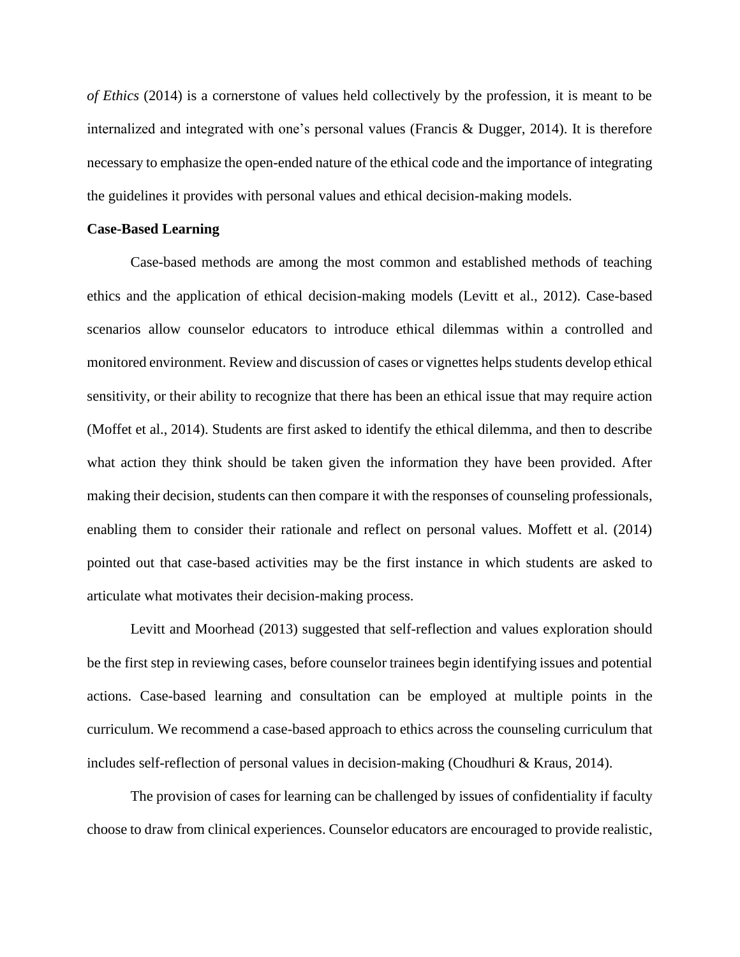*of Ethics* (2014) is a cornerstone of values held collectively by the profession, it is meant to be internalized and integrated with one's personal values (Francis & Dugger, 2014). It is therefore necessary to emphasize the open-ended nature of the ethical code and the importance of integrating the guidelines it provides with personal values and ethical decision-making models.

# **Case-Based Learning**

Case-based methods are among the most common and established methods of teaching ethics and the application of ethical decision-making models (Levitt et al., 2012). Case-based scenarios allow counselor educators to introduce ethical dilemmas within a controlled and monitored environment. Review and discussion of cases or vignettes helps students develop ethical sensitivity, or their ability to recognize that there has been an ethical issue that may require action (Moffet et al., 2014). Students are first asked to identify the ethical dilemma, and then to describe what action they think should be taken given the information they have been provided. After making their decision, students can then compare it with the responses of counseling professionals, enabling them to consider their rationale and reflect on personal values. Moffett et al. (2014) pointed out that case-based activities may be the first instance in which students are asked to articulate what motivates their decision-making process.

Levitt and Moorhead (2013) suggested that self-reflection and values exploration should be the first step in reviewing cases, before counselor trainees begin identifying issues and potential actions. Case-based learning and consultation can be employed at multiple points in the curriculum. We recommend a case-based approach to ethics across the counseling curriculum that includes self-reflection of personal values in decision-making (Choudhuri & Kraus, 2014).

The provision of cases for learning can be challenged by issues of confidentiality if faculty choose to draw from clinical experiences. Counselor educators are encouraged to provide realistic,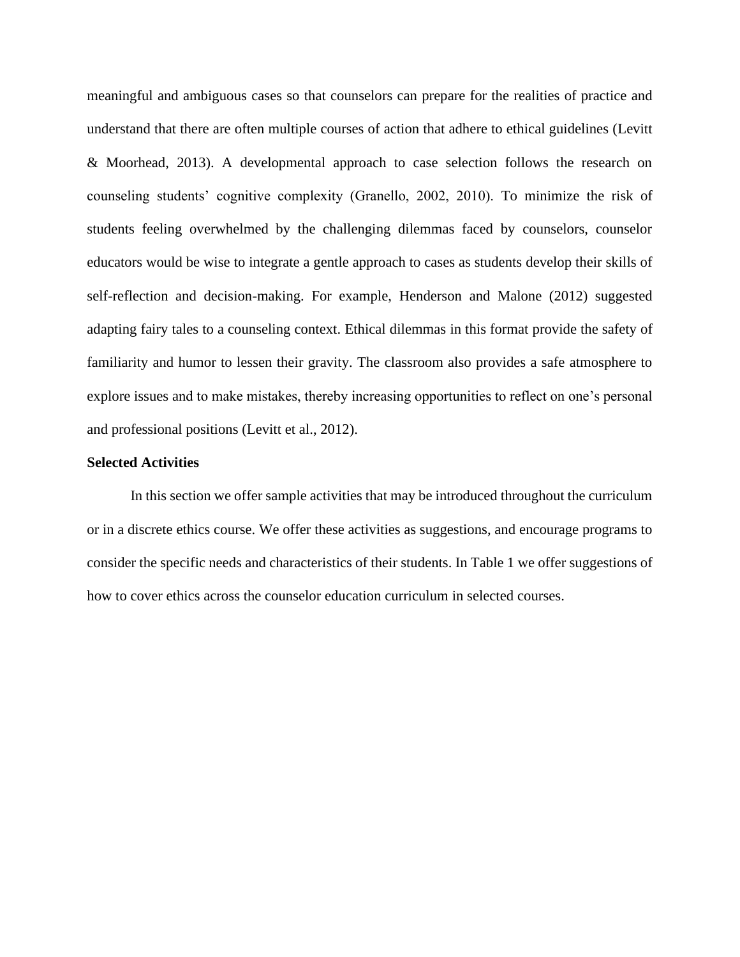meaningful and ambiguous cases so that counselors can prepare for the realities of practice and understand that there are often multiple courses of action that adhere to ethical guidelines (Levitt & Moorhead, 2013). A developmental approach to case selection follows the research on counseling students' cognitive complexity (Granello, 2002, 2010). To minimize the risk of students feeling overwhelmed by the challenging dilemmas faced by counselors, counselor educators would be wise to integrate a gentle approach to cases as students develop their skills of self-reflection and decision-making. For example, Henderson and Malone (2012) suggested adapting fairy tales to a counseling context. Ethical dilemmas in this format provide the safety of familiarity and humor to lessen their gravity. The classroom also provides a safe atmosphere to explore issues and to make mistakes, thereby increasing opportunities to reflect on one's personal and professional positions (Levitt et al., 2012).

## **Selected Activities**

In this section we offer sample activities that may be introduced throughout the curriculum or in a discrete ethics course. We offer these activities as suggestions, and encourage programs to consider the specific needs and characteristics of their students. In Table 1 we offer suggestions of how to cover ethics across the counselor education curriculum in selected courses.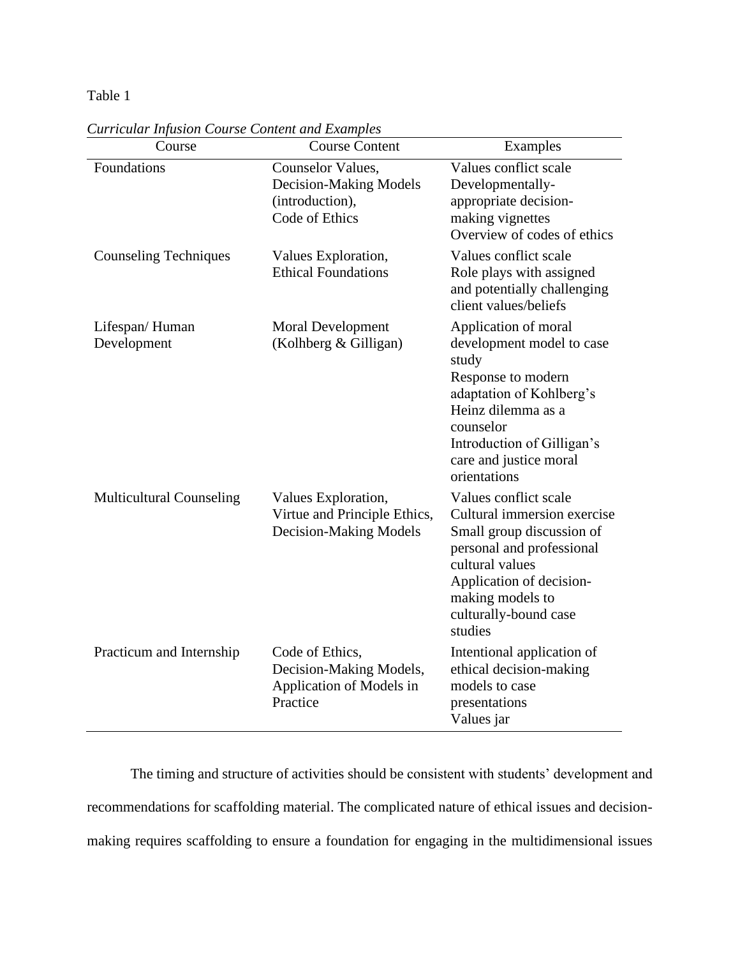# Table 1

| Course                          | <b>Course Content</b>                                                              | Examples                                                                                                                                                                                                                |
|---------------------------------|------------------------------------------------------------------------------------|-------------------------------------------------------------------------------------------------------------------------------------------------------------------------------------------------------------------------|
| Foundations                     | Counselor Values,<br>Decision-Making Models<br>(introduction),<br>Code of Ethics   | Values conflict scale<br>Developmentally-<br>appropriate decision-<br>making vignettes<br>Overview of codes of ethics                                                                                                   |
| <b>Counseling Techniques</b>    | Values Exploration,<br><b>Ethical Foundations</b>                                  | Values conflict scale<br>Role plays with assigned<br>and potentially challenging<br>client values/beliefs                                                                                                               |
| Lifespan/Human<br>Development   | <b>Moral Development</b><br>(Kolhberg & Gilligan)                                  | Application of moral<br>development model to case<br>study<br>Response to modern<br>adaptation of Kohlberg's<br>Heinz dilemma as a<br>counselor<br>Introduction of Gilligan's<br>care and justice moral<br>orientations |
| <b>Multicultural Counseling</b> | Values Exploration,<br>Virtue and Principle Ethics,<br>Decision-Making Models      | Values conflict scale<br>Cultural immersion exercise<br>Small group discussion of<br>personal and professional<br>cultural values<br>Application of decision-<br>making models to<br>culturally-bound case<br>studies   |
| Practicum and Internship        | Code of Ethics,<br>Decision-Making Models,<br>Application of Models in<br>Practice | Intentional application of<br>ethical decision-making<br>models to case<br>presentations<br>Values jar                                                                                                                  |

*Curricular Infusion Course Content and Examples*

The timing and structure of activities should be consistent with students' development and recommendations for scaffolding material. The complicated nature of ethical issues and decisionmaking requires scaffolding to ensure a foundation for engaging in the multidimensional issues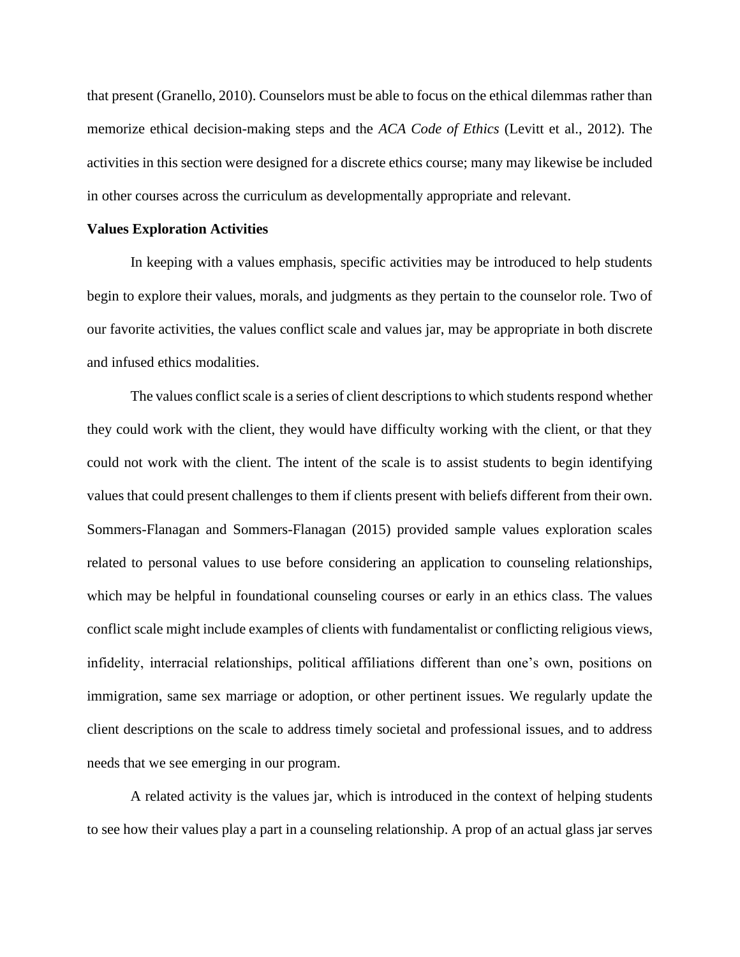that present (Granello, 2010). Counselors must be able to focus on the ethical dilemmas rather than memorize ethical decision-making steps and the *ACA Code of Ethics* (Levitt et al., 2012). The activities in this section were designed for a discrete ethics course; many may likewise be included in other courses across the curriculum as developmentally appropriate and relevant.

#### **Values Exploration Activities**

In keeping with a values emphasis, specific activities may be introduced to help students begin to explore their values, morals, and judgments as they pertain to the counselor role. Two of our favorite activities, the values conflict scale and values jar, may be appropriate in both discrete and infused ethics modalities.

The values conflict scale is a series of client descriptions to which students respond whether they could work with the client, they would have difficulty working with the client, or that they could not work with the client. The intent of the scale is to assist students to begin identifying values that could present challenges to them if clients present with beliefs different from their own. Sommers-Flanagan and Sommers-Flanagan (2015) provided sample values exploration scales related to personal values to use before considering an application to counseling relationships, which may be helpful in foundational counseling courses or early in an ethics class. The values conflict scale might include examples of clients with fundamentalist or conflicting religious views, infidelity, interracial relationships, political affiliations different than one's own, positions on immigration, same sex marriage or adoption, or other pertinent issues. We regularly update the client descriptions on the scale to address timely societal and professional issues, and to address needs that we see emerging in our program.

A related activity is the values jar, which is introduced in the context of helping students to see how their values play a part in a counseling relationship. A prop of an actual glass jar serves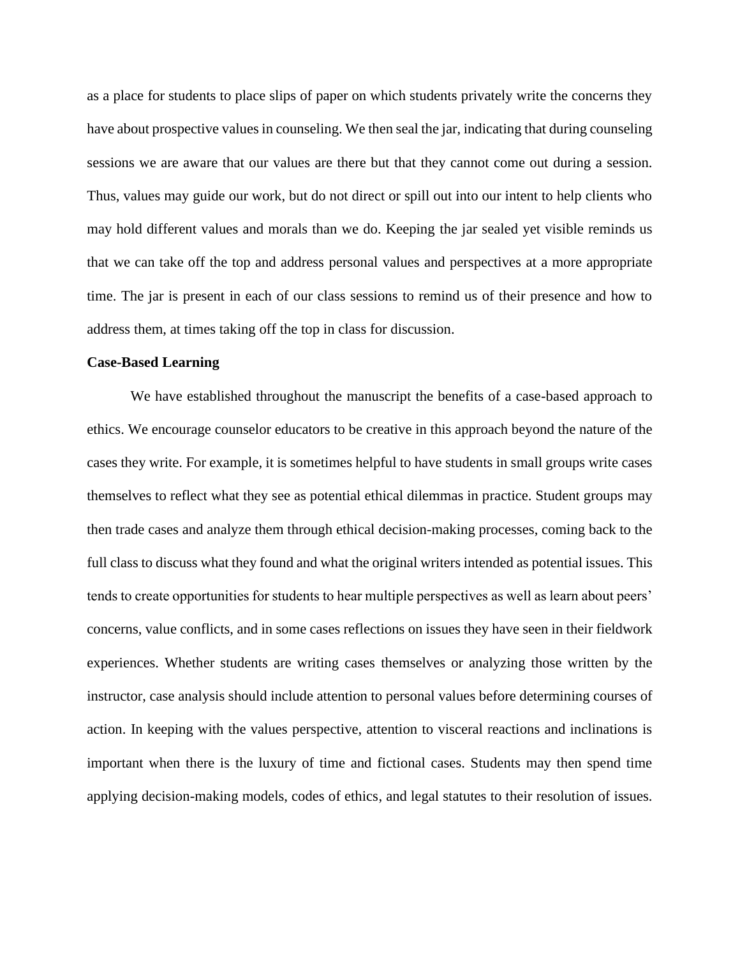as a place for students to place slips of paper on which students privately write the concerns they have about prospective values in counseling. We then seal the jar, indicating that during counseling sessions we are aware that our values are there but that they cannot come out during a session. Thus, values may guide our work, but do not direct or spill out into our intent to help clients who may hold different values and morals than we do. Keeping the jar sealed yet visible reminds us that we can take off the top and address personal values and perspectives at a more appropriate time. The jar is present in each of our class sessions to remind us of their presence and how to address them, at times taking off the top in class for discussion.

#### **Case-Based Learning**

We have established throughout the manuscript the benefits of a case-based approach to ethics. We encourage counselor educators to be creative in this approach beyond the nature of the cases they write. For example, it is sometimes helpful to have students in small groups write cases themselves to reflect what they see as potential ethical dilemmas in practice. Student groups may then trade cases and analyze them through ethical decision-making processes, coming back to the full class to discuss what they found and what the original writers intended as potential issues. This tends to create opportunities for students to hear multiple perspectives as well as learn about peers' concerns, value conflicts, and in some cases reflections on issues they have seen in their fieldwork experiences. Whether students are writing cases themselves or analyzing those written by the instructor, case analysis should include attention to personal values before determining courses of action. In keeping with the values perspective, attention to visceral reactions and inclinations is important when there is the luxury of time and fictional cases. Students may then spend time applying decision-making models, codes of ethics, and legal statutes to their resolution of issues.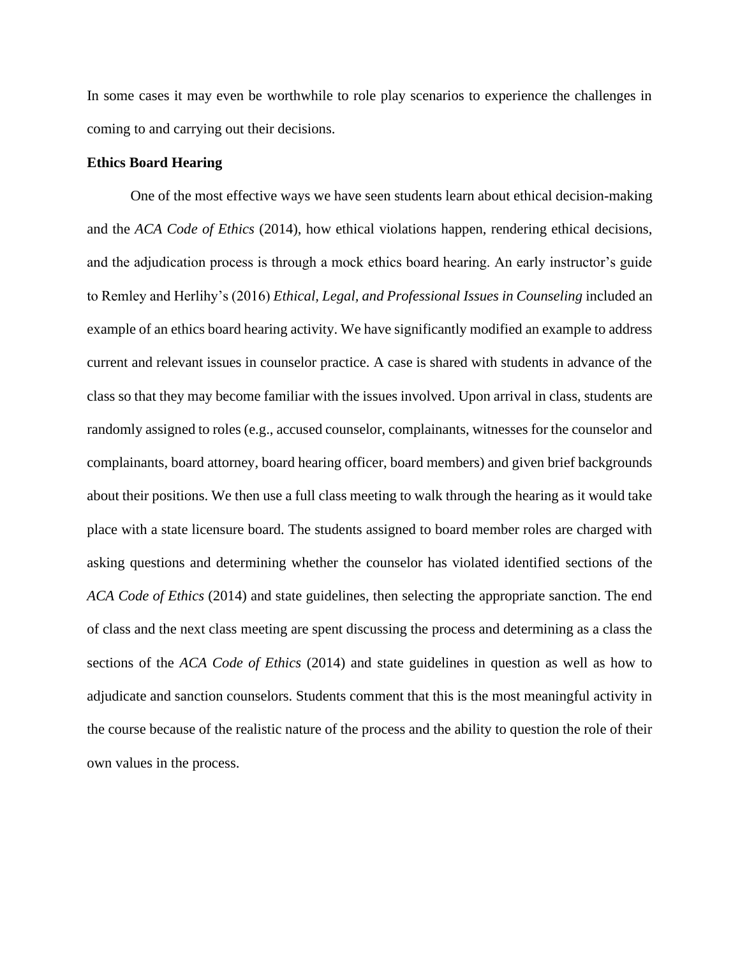In some cases it may even be worthwhile to role play scenarios to experience the challenges in coming to and carrying out their decisions.

## **Ethics Board Hearing**

One of the most effective ways we have seen students learn about ethical decision-making and the *ACA Code of Ethics* (2014), how ethical violations happen, rendering ethical decisions, and the adjudication process is through a mock ethics board hearing. An early instructor's guide to Remley and Herlihy's (2016) *Ethical, Legal, and Professional Issues in Counseling* included an example of an ethics board hearing activity. We have significantly modified an example to address current and relevant issues in counselor practice. A case is shared with students in advance of the class so that they may become familiar with the issues involved. Upon arrival in class, students are randomly assigned to roles (e.g., accused counselor, complainants, witnesses for the counselor and complainants, board attorney, board hearing officer, board members) and given brief backgrounds about their positions. We then use a full class meeting to walk through the hearing as it would take place with a state licensure board. The students assigned to board member roles are charged with asking questions and determining whether the counselor has violated identified sections of the *ACA Code of Ethics* (2014) and state guidelines, then selecting the appropriate sanction. The end of class and the next class meeting are spent discussing the process and determining as a class the sections of the *ACA Code of Ethics* (2014) and state guidelines in question as well as how to adjudicate and sanction counselors. Students comment that this is the most meaningful activity in the course because of the realistic nature of the process and the ability to question the role of their own values in the process.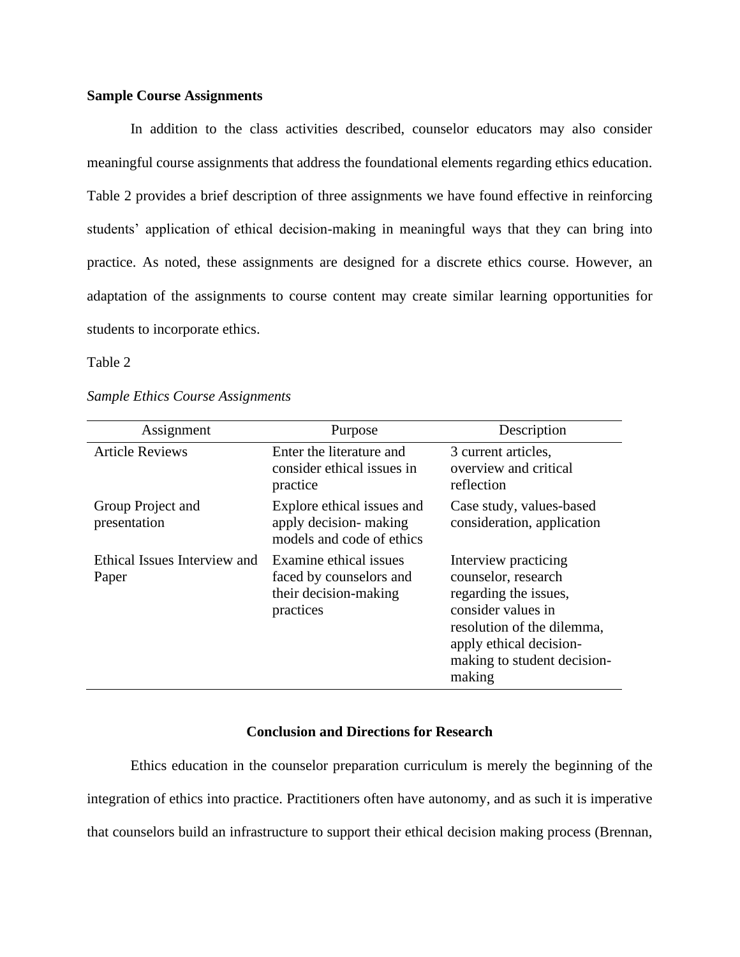## **Sample Course Assignments**

In addition to the class activities described, counselor educators may also consider meaningful course assignments that address the foundational elements regarding ethics education. Table 2 provides a brief description of three assignments we have found effective in reinforcing students' application of ethical decision-making in meaningful ways that they can bring into practice. As noted, these assignments are designed for a discrete ethics course. However, an adaptation of the assignments to course content may create similar learning opportunities for students to incorporate ethics.

Table 2

| Assignment                            | Purpose                                                                                 | Description                                                                                                                                                                                  |
|---------------------------------------|-----------------------------------------------------------------------------------------|----------------------------------------------------------------------------------------------------------------------------------------------------------------------------------------------|
| <b>Article Reviews</b>                | Enter the literature and<br>consider ethical issues in<br>practice                      | 3 current articles,<br>overview and critical<br>reflection                                                                                                                                   |
| Group Project and<br>presentation     | Explore ethical issues and<br>apply decision- making<br>models and code of ethics       | Case study, values-based<br>consideration, application                                                                                                                                       |
| Ethical Issues Interview and<br>Paper | Examine ethical issues<br>faced by counselors and<br>their decision-making<br>practices | Interview practicing<br>counselor, research<br>regarding the issues,<br>consider values in<br>resolution of the dilemma,<br>apply ethical decision-<br>making to student decision-<br>making |

## **Conclusion and Directions for Research**

Ethics education in the counselor preparation curriculum is merely the beginning of the integration of ethics into practice. Practitioners often have autonomy, and as such it is imperative that counselors build an infrastructure to support their ethical decision making process (Brennan,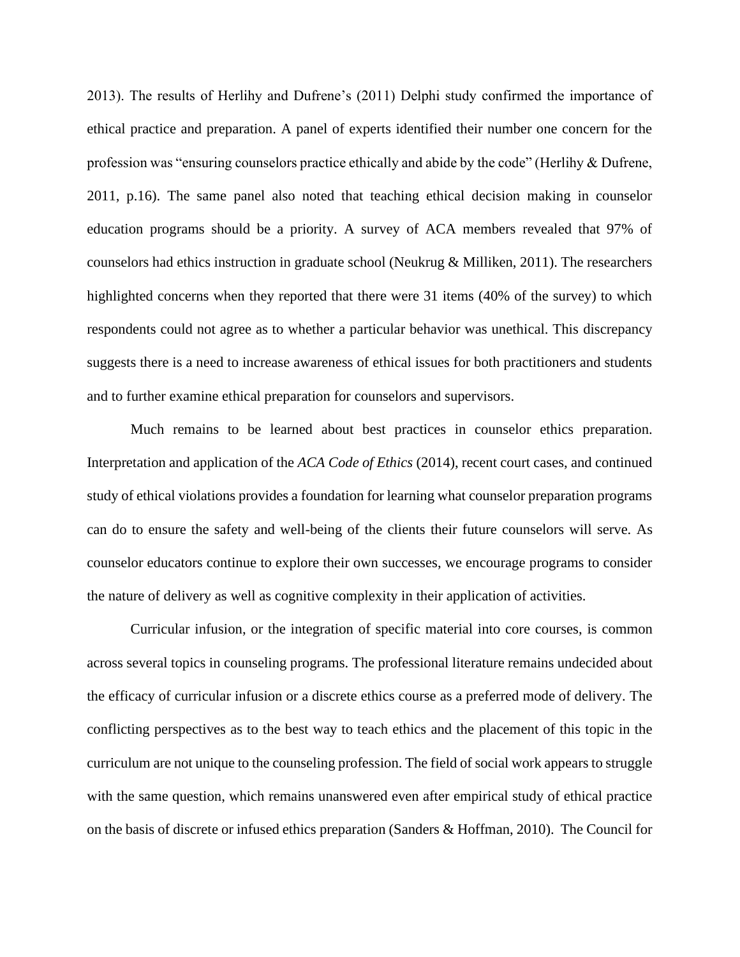2013). The results of Herlihy and Dufrene's (2011) Delphi study confirmed the importance of ethical practice and preparation. A panel of experts identified their number one concern for the profession was "ensuring counselors practice ethically and abide by the code" (Herlihy & Dufrene, 2011, p.16). The same panel also noted that teaching ethical decision making in counselor education programs should be a priority. A survey of ACA members revealed that 97% of counselors had ethics instruction in graduate school (Neukrug & Milliken, 2011). The researchers highlighted concerns when they reported that there were 31 items (40% of the survey) to which respondents could not agree as to whether a particular behavior was unethical. This discrepancy suggests there is a need to increase awareness of ethical issues for both practitioners and students and to further examine ethical preparation for counselors and supervisors.

Much remains to be learned about best practices in counselor ethics preparation. Interpretation and application of the *ACA Code of Ethics* (2014), recent court cases, and continued study of ethical violations provides a foundation for learning what counselor preparation programs can do to ensure the safety and well-being of the clients their future counselors will serve. As counselor educators continue to explore their own successes, we encourage programs to consider the nature of delivery as well as cognitive complexity in their application of activities.

Curricular infusion, or the integration of specific material into core courses, is common across several topics in counseling programs. The professional literature remains undecided about the efficacy of curricular infusion or a discrete ethics course as a preferred mode of delivery. The conflicting perspectives as to the best way to teach ethics and the placement of this topic in the curriculum are not unique to the counseling profession. The field of social work appears to struggle with the same question, which remains unanswered even after empirical study of ethical practice on the basis of discrete or infused ethics preparation (Sanders & Hoffman, 2010). The Council for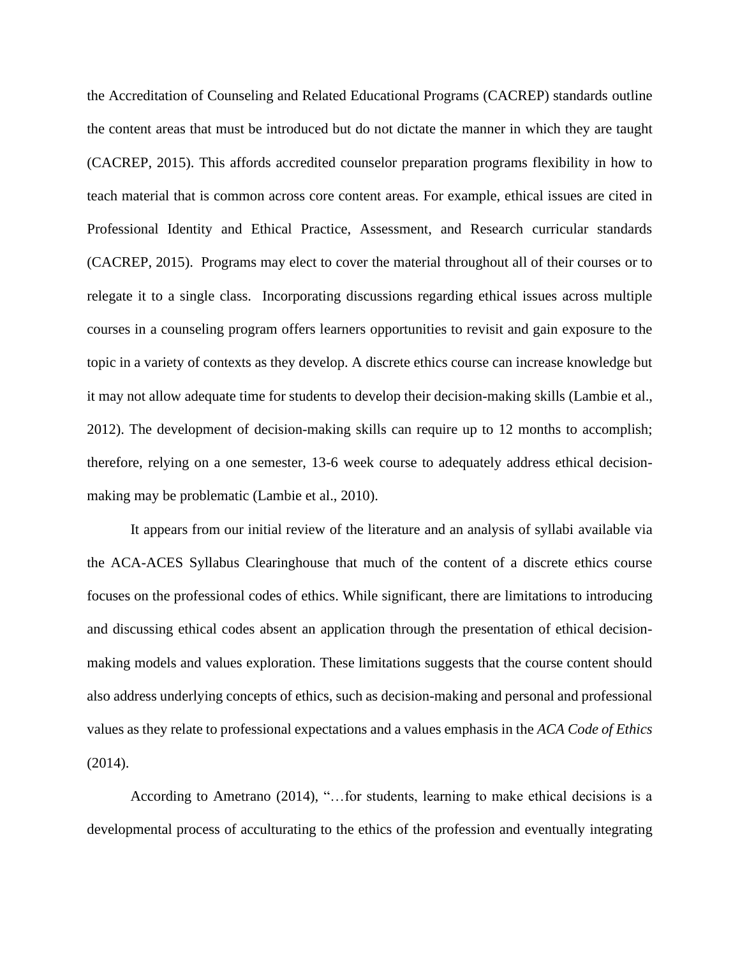the Accreditation of Counseling and Related Educational Programs (CACREP) standards outline the content areas that must be introduced but do not dictate the manner in which they are taught (CACREP, 2015). This affords accredited counselor preparation programs flexibility in how to teach material that is common across core content areas. For example, ethical issues are cited in Professional Identity and Ethical Practice, Assessment, and Research curricular standards (CACREP, 2015). Programs may elect to cover the material throughout all of their courses or to relegate it to a single class. Incorporating discussions regarding ethical issues across multiple courses in a counseling program offers learners opportunities to revisit and gain exposure to the topic in a variety of contexts as they develop. A discrete ethics course can increase knowledge but it may not allow adequate time for students to develop their decision-making skills (Lambie et al., 2012). The development of decision-making skills can require up to 12 months to accomplish; therefore, relying on a one semester, 13-6 week course to adequately address ethical decisionmaking may be problematic (Lambie et al., 2010).

It appears from our initial review of the literature and an analysis of syllabi available via the ACA-ACES Syllabus Clearinghouse that much of the content of a discrete ethics course focuses on the professional codes of ethics. While significant, there are limitations to introducing and discussing ethical codes absent an application through the presentation of ethical decisionmaking models and values exploration. These limitations suggests that the course content should also address underlying concepts of ethics, such as decision-making and personal and professional values as they relate to professional expectations and a values emphasis in the *ACA Code of Ethics* (2014).

According to Ametrano (2014), "…for students, learning to make ethical decisions is a developmental process of acculturating to the ethics of the profession and eventually integrating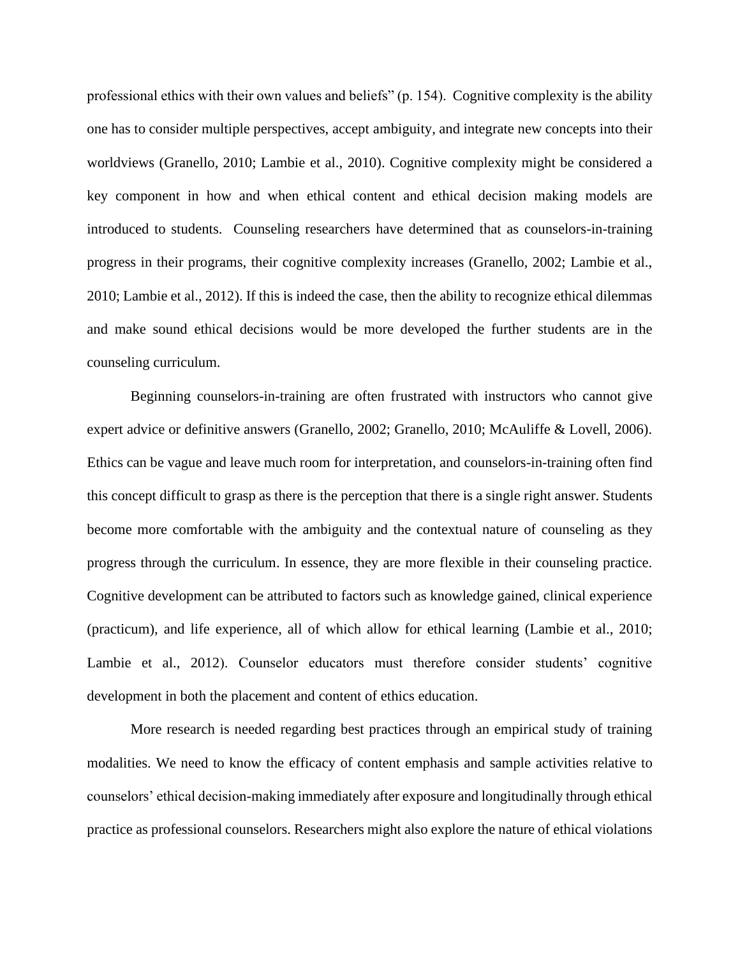professional ethics with their own values and beliefs" (p. 154). Cognitive complexity is the ability one has to consider multiple perspectives, accept ambiguity, and integrate new concepts into their worldviews (Granello, 2010; Lambie et al., 2010). Cognitive complexity might be considered a key component in how and when ethical content and ethical decision making models are introduced to students. Counseling researchers have determined that as counselors-in-training progress in their programs, their cognitive complexity increases (Granello, 2002; Lambie et al., 2010; Lambie et al., 2012). If this is indeed the case, then the ability to recognize ethical dilemmas and make sound ethical decisions would be more developed the further students are in the counseling curriculum.

Beginning counselors-in-training are often frustrated with instructors who cannot give expert advice or definitive answers (Granello, 2002; Granello, 2010; McAuliffe & Lovell, 2006). Ethics can be vague and leave much room for interpretation, and counselors-in-training often find this concept difficult to grasp as there is the perception that there is a single right answer. Students become more comfortable with the ambiguity and the contextual nature of counseling as they progress through the curriculum. In essence, they are more flexible in their counseling practice. Cognitive development can be attributed to factors such as knowledge gained, clinical experience (practicum), and life experience, all of which allow for ethical learning (Lambie et al., 2010; Lambie et al., 2012). Counselor educators must therefore consider students' cognitive development in both the placement and content of ethics education.

More research is needed regarding best practices through an empirical study of training modalities. We need to know the efficacy of content emphasis and sample activities relative to counselors' ethical decision-making immediately after exposure and longitudinally through ethical practice as professional counselors. Researchers might also explore the nature of ethical violations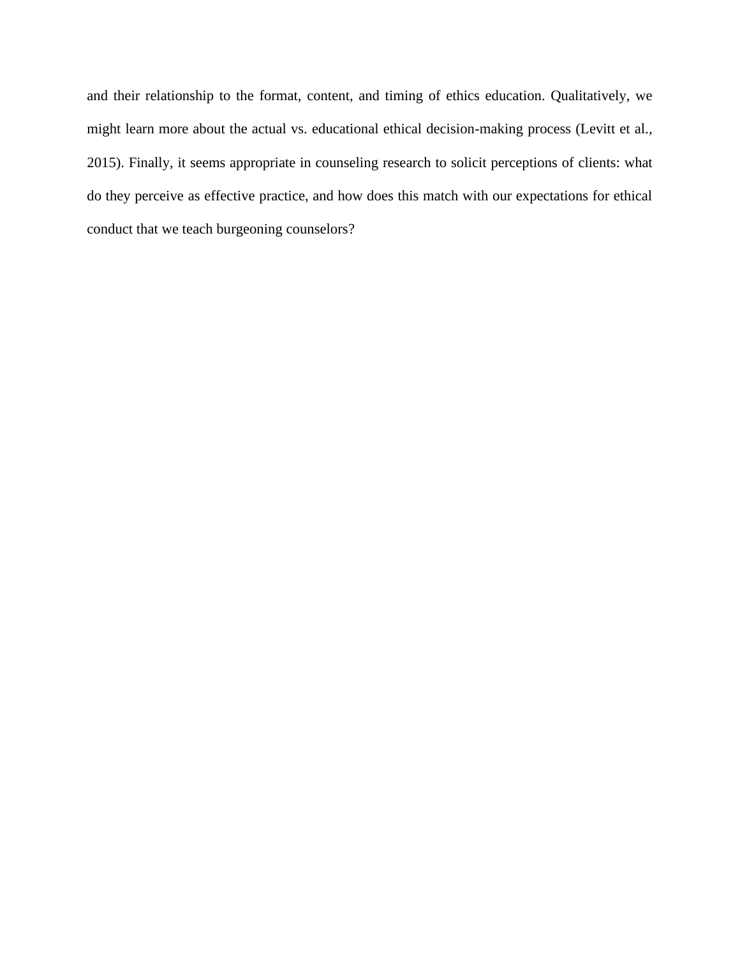and their relationship to the format, content, and timing of ethics education. Qualitatively, we might learn more about the actual vs. educational ethical decision-making process (Levitt et al., 2015). Finally, it seems appropriate in counseling research to solicit perceptions of clients: what do they perceive as effective practice, and how does this match with our expectations for ethical conduct that we teach burgeoning counselors?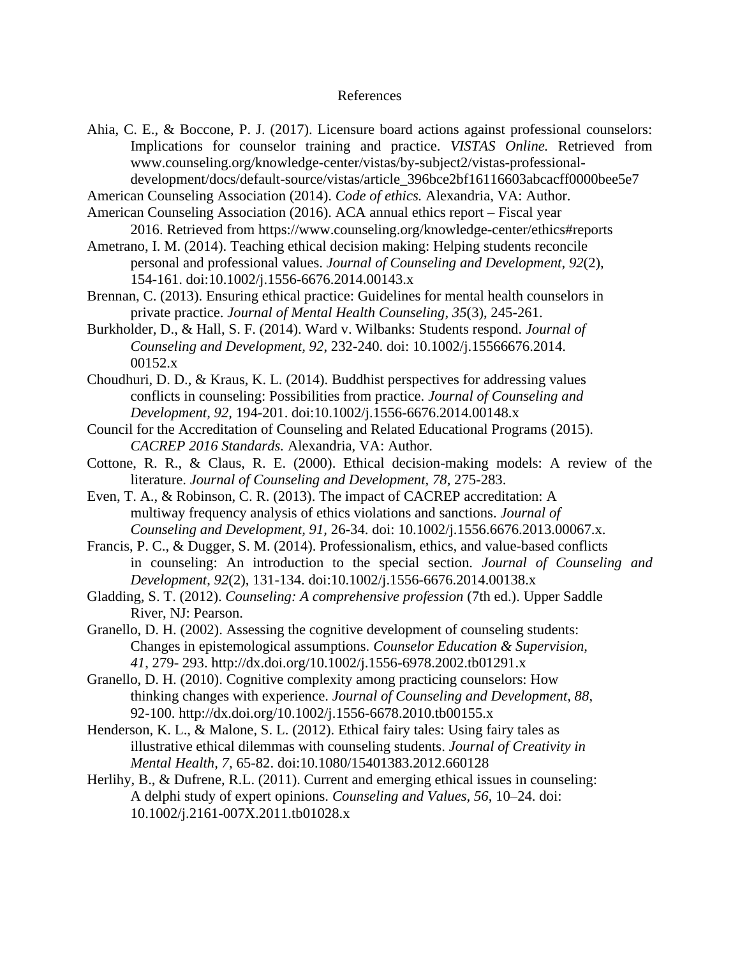## References

Ahia, C. E., & Boccone, P. J. (2017). Licensure board actions against professional counselors: Implications for counselor training and practice. *VISTAS Online.* Retrieved from [www.counseling.org/knowledge-center/vistas/by-subject2/vistas-professional](http://www.counseling.org/knowledge-center/vistas/by-subject2/vistas-professional-development/docs/default-source/vistas/article_396bce2bf16116603abcacff0000bee5e7)[development/docs/default-source/vistas/article\\_396bce2bf16116603abcacff0000bee5e7](http://www.counseling.org/knowledge-center/vistas/by-subject2/vistas-professional-development/docs/default-source/vistas/article_396bce2bf16116603abcacff0000bee5e7)

American Counseling Association (2014). *Code of ethics.* Alexandria, VA: Author.

- American Counseling Association (2016). ACA annual ethics report Fiscal year 2016. Retrieved from https://www.counseling.org/knowledge-center/ethics#reports
- Ametrano, I. M. (2014). Teaching ethical decision making: Helping students reconcile personal and professional values. *Journal of Counseling and Development*, *92*(2), 154-161. doi:10.1002/j.1556-6676.2014.00143.x
- Brennan, C. (2013). Ensuring ethical practice: Guidelines for mental health counselors in private practice. *Journal of Mental Health Counseling*, *35*(3), 245-261.
- Burkholder, D., & Hall, S. F. (2014). Ward v. Wilbanks: Students respond. *Journal of Counseling and Development, 92*, 232-240. doi: 10.1002/j.15566676.2014. 00152.x
- Choudhuri, D. D., & Kraus, K. L. (2014). Buddhist perspectives for addressing values conflicts in counseling: Possibilities from practice. *Journal of Counseling and Development, 92,* 194-201. doi:10.1002/j.1556-6676.2014.00148.x
- Council for the Accreditation of Counseling and Related Educational Programs (2015). *CACREP 2016 Standards.* Alexandria, VA: Author.
- Cottone, R. R., & Claus, R. E. (2000). Ethical decision-making models: A review of the literature. *Journal of Counseling and Development*, *78*, 275-283.
- Even, T. A., & Robinson, C. R. (2013). The impact of CACREP accreditation: A multiway frequency analysis of ethics violations and sanctions. *Journal of Counseling and Development, 91,* 26-34. doi: 10.1002/j.1556.6676.2013.00067.x.
- Francis, P. C., & Dugger, S. M. (2014). Professionalism, ethics, and value-based conflicts in counseling: An introduction to the special section. *Journal of Counseling and Development*, *92*(2), 131-134. doi:10.1002/j.1556-6676.2014.00138.x
- Gladding, S. T. (2012). *Counseling: A comprehensive profession* (7th ed.). Upper Saddle River, NJ: Pearson.
- Granello, D. H. (2002). Assessing the cognitive development of counseling students: Changes in epistemological assumptions. *Counselor Education & Supervision, 41*, 279- 293. http://dx.doi.org/10.1002/j.1556-6978.2002.tb01291.x
- Granello, D. H. (2010). Cognitive complexity among practicing counselors: How thinking changes with experience. *Journal of Counseling and Development, 88*, 92-100. http://dx.doi.org/10.1002/j.1556-6678.2010.tb00155.x
- Henderson, K. L., & Malone, S. L. (2012). Ethical fairy tales: Using fairy tales as illustrative ethical dilemmas with counseling students. *Journal of Creativity in Mental Health, 7,* 65-82. doi:10.1080/15401383.2012.660128
- Herlihy, B., & Dufrene, R.L. (2011). Current and emerging ethical issues in counseling: A delphi study of expert opinions. *Counseling and Values, 56*, 10–24. doi: 10.1002/j.2161-007X.2011.tb01028.x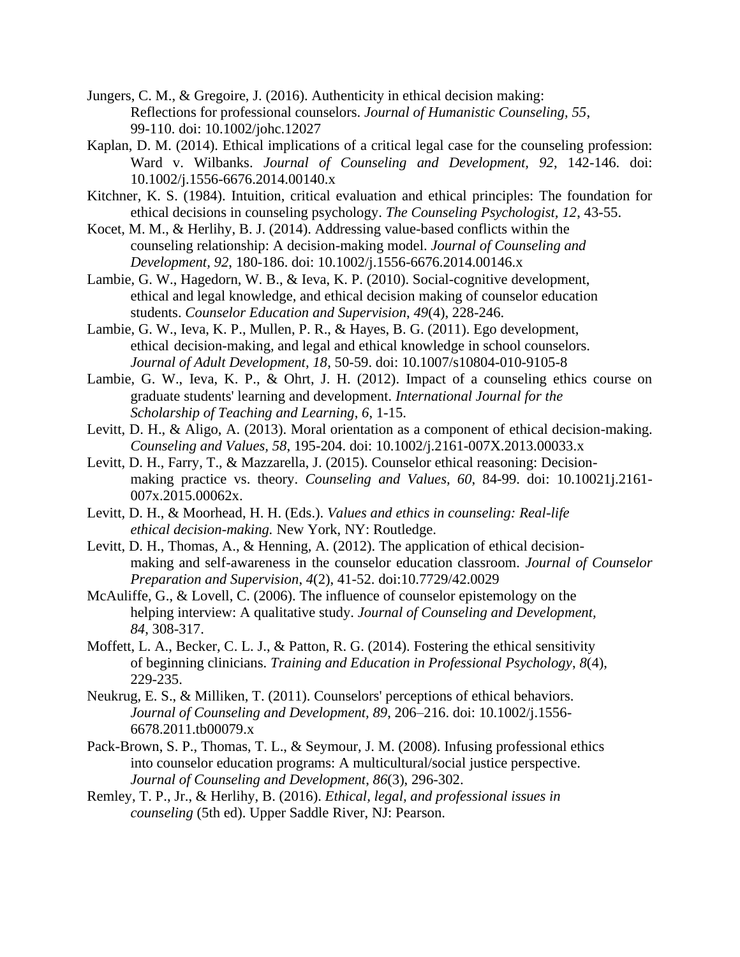- Jungers, C. M., & Gregoire, J. (2016). Authenticity in ethical decision making: Reflections for professional counselors. *Journal of Humanistic Counseling, 55*, 99-110. doi: 10.1002/johc.12027
- Kaplan, D. M. (2014). Ethical implications of a critical legal case for the counseling profession: Ward v. Wilbanks. *Journal of Counseling and Development, 92*, 142-146. doi: 10.1002/j.1556-6676.2014.00140.x
- Kitchner, K. S. (1984). Intuition, critical evaluation and ethical principles: The foundation for ethical decisions in counseling psychology. *The Counseling Psychologist, 12*, 43-55.
- Kocet, M. M., & Herlihy, B. J. (2014). Addressing value-based conflicts within the counseling relationship: A decision-making model. *Journal of Counseling and Development, 92*, 180-186. doi: 10.1002/j.1556-6676.2014.00146.x
- Lambie, G. W., Hagedorn, W. B., & Ieva, K. P. (2010). Social-cognitive development, ethical and legal knowledge, and ethical decision making of counselor education students. *Counselor Education and Supervision*, *49*(4), 228-246.
- Lambie, G. W., Ieva, K. P., Mullen, P. R., & Hayes, B. G. (2011). Ego development, ethical decision-making, and legal and ethical knowledge in school counselors. *Journal of Adult Development, 18*, 50-59. doi: 10.1007/s10804-010-9105-8
- Lambie, G. W., Ieva, K. P., & Ohrt, J. H. (2012). Impact of a counseling ethics course on graduate students' learning and development. *International Journal for the Scholarship of Teaching and Learning*, *6*, 1-15.
- Levitt, D. H., & Aligo, A. (2013). Moral orientation as a component of ethical decision-making. *Counseling and Values, 58*, 195-204. doi: 10.1002/j.2161-007X.2013.00033.x
- Levitt, D. H., Farry, T., & Mazzarella, J. (2015). Counselor ethical reasoning: Decisionmaking practice vs. theory. *Counseling and Values, 60*, 84-99. doi: 10.10021j.2161- 007x.2015.00062x.
- Levitt, D. H., & Moorhead, H. H. (Eds.). *Values and ethics in counseling: Real-life ethical decision-making.* New York, NY: Routledge.
- Levitt, D. H., Thomas, A., & Henning, A. (2012). The application of ethical decisionmaking and self-awareness in the counselor education classroom. *Journal of Counselor Preparation and Supervision*, *4*(2), 41-52. doi:10.7729/42.0029
- McAuliffe, G., & Lovell, C. (2006). The influence of counselor epistemology on the helping interview: A qualitative study. *Journal of Counseling and Development, 84*, 308-317.
- Moffett, L. A., Becker, C. L. J., & Patton, R. G. (2014). Fostering the ethical sensitivity of beginning clinicians. *Training and Education in Professional Psychology*, *8*(4), 229-235.
- Neukrug, E. S., & Milliken, T. (2011). Counselors' perceptions of ethical behaviors. *Journal of Counseling and Development, 89*, 206–216. doi: 10.1002/j.1556- 6678.2011.tb00079.x
- Pack-Brown, S. P., Thomas, T. L., & Seymour, J. M. (2008). Infusing professional ethics into counselor education programs: A multicultural/social justice perspective. *Journal of Counseling and Development*, *86*(3), 296-302.
- Remley, T. P., Jr., & Herlihy, B. (2016). *Ethical, legal, and professional issues in counseling* (5th ed). Upper Saddle River, NJ: Pearson.